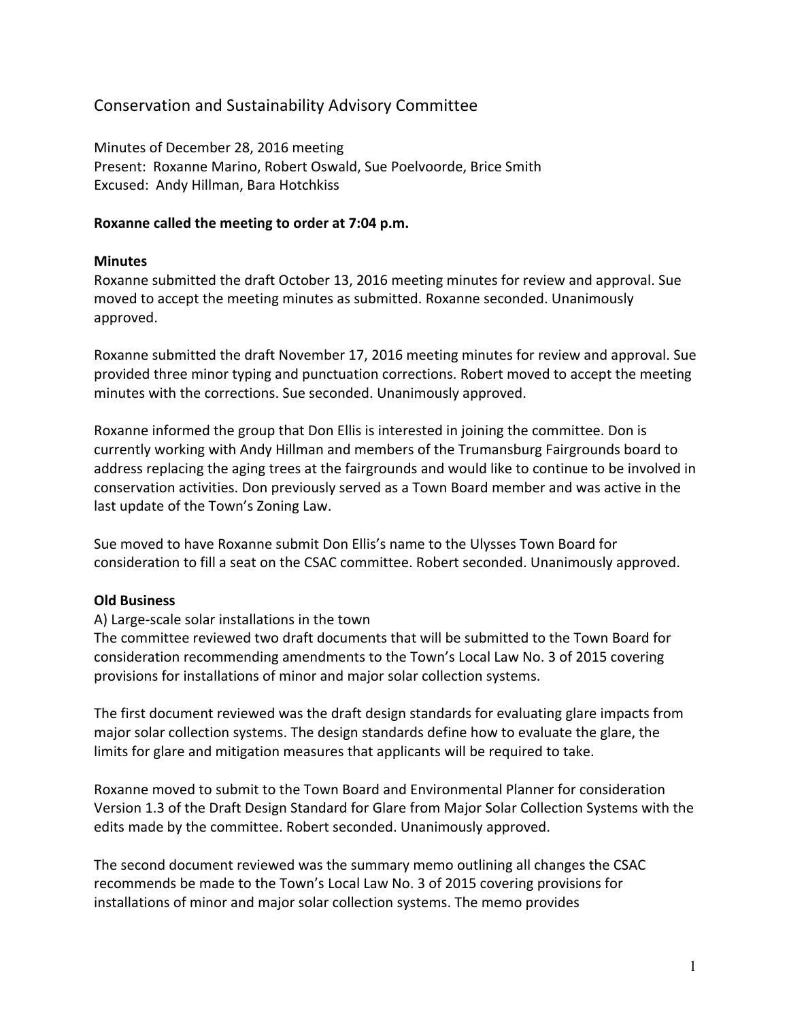# Conservation and Sustainability Advisory Committee

Minutes of December 28, 2016 meeting Present: Roxanne Marino, Robert Oswald, Sue Poelvoorde, Brice Smith Excused: Andy Hillman, Bara Hotchkiss

### **Roxanne called the meeting to order at 7:04 p.m.**

### **Minutes**

Roxanne submitted the draft October 13, 2016 meeting minutes for review and approval. Sue moved to accept the meeting minutes as submitted. Roxanne seconded. Unanimously approved.

Roxanne submitted the draft November 17, 2016 meeting minutes for review and approval. Sue provided three minor typing and punctuation corrections. Robert moved to accept the meeting minutes with the corrections. Sue seconded. Unanimously approved.

Roxanne informed the group that Don Ellis is interested in joining the committee. Don is currently working with Andy Hillman and members of the Trumansburg Fairgrounds board to address replacing the aging trees at the fairgrounds and would like to continue to be involved in conservation activities. Don previously served as a Town Board member and was active in the last update of the Town's Zoning Law.

Sue moved to have Roxanne submit Don Ellis's name to the Ulysses Town Board for consideration to fill a seat on the CSAC committee. Robert seconded. Unanimously approved.

## **Old Business**

## A) Large-scale solar installations in the town

The committee reviewed two draft documents that will be submitted to the Town Board for consideration recommending amendments to the Town's Local Law No. 3 of 2015 covering provisions for installations of minor and major solar collection systems.

The first document reviewed was the draft design standards for evaluating glare impacts from major solar collection systems. The design standards define how to evaluate the glare, the limits for glare and mitigation measures that applicants will be required to take.

Roxanne moved to submit to the Town Board and Environmental Planner for consideration Version 1.3 of the Draft Design Standard for Glare from Major Solar Collection Systems with the edits made by the committee. Robert seconded. Unanimously approved.

The second document reviewed was the summary memo outlining all changes the CSAC recommends be made to the Town's Local Law No. 3 of 2015 covering provisions for installations of minor and major solar collection systems. The memo provides